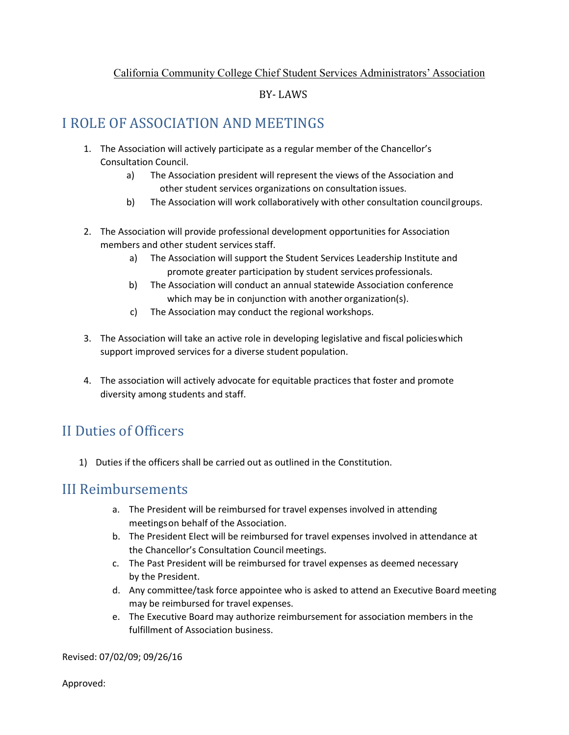#### California Community College Chief Student Services Administrators' Association

### BY- LAWS

## I ROLE OF ASSOCIATION AND MEETINGS

- 1. The Association will actively participate as a regular member of the Chancellor's Consultation Council.
	- a) The Association president will represent the views of the Association and other student services organizations on consultation issues.
	- b) The Association will work collaboratively with other consultation councilgroups.
- 2. The Association will provide professional development opportunities for Association members and other student services staff.
	- a) The Association will support the Student Services Leadership Institute and promote greater participation by student services professionals.
	- b) The Association will conduct an annual statewide Association conference which may be in conjunction with another organization(s).
	- c) The Association may conduct the regional workshops.
- 3. The Association will take an active role in developing legislative and fiscal policieswhich support improved services for a diverse student population.
- 4. The association will actively advocate for equitable practices that foster and promote diversity among students and staff.

# II Duties of Officers

1) Duties if the officers shall be carried out as outlined in the Constitution.

## III Reimbursements

- a. The President will be reimbursed for travel expenses involved in attending meetingson behalf of the Association.
- b. The President Elect will be reimbursed for travel expenses involved in attendance at the Chancellor's Consultation Council meetings.
- c. The Past President will be reimbursed for travel expenses as deemed necessary by the President.
- d. Any committee/task force appointee who is asked to attend an Executive Board meeting may be reimbursed for travel expenses.
- e. The Executive Board may authorize reimbursement for association members in the fulfillment of Association business.

Revised: 07/02/09; 09/26/16

Approved: